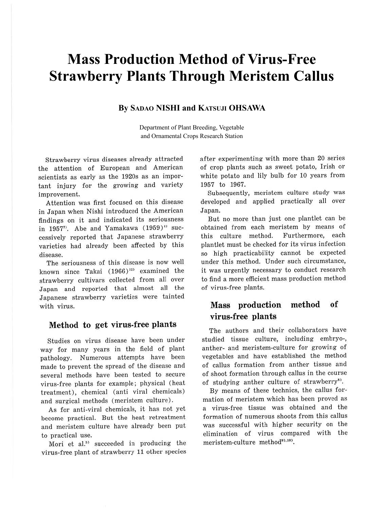# **Mass Production Method of Virus-Free Strawberry Plants Through Meristem Callus**

### **By SADAO NISHI and KATSUJI OHSAWA**

Department of Plant Breeding, Vegetable and Ornamental Crops Research Station

Strawberry virus diseases already attracted the attention of European and American scientists as early as the 1920s as an important injury for the growing and variety improvement.

Attention was first focused on this disease in Japan when Nishi introduced the American findings on it and indicated its seriousness in 1957<sup>7</sup>. Abe and Yamakawa (1959)<sup>1</sup> successively reported that Japanese strawberry varieties had already been affected by this disease.

The seriousness of this disease is now well known since Takai  $(1966)^{12}$  examined the strawberry cultivars collected from all over Japan and reported that almost all the Japanese strawberry varieties were tainted with virus.

### **Method to get virus-free plants**

Studies on virus disease have been under way for many years in the field of plant pathology. Numerous attempts have been made to prevent the spread of the disease and several methods have been tested to secure virus-free plants for example; physical (heat treatment), chemical (anti viral chemicals) and surgical methods (meristem culture) .

As for anti-viral chemicals, it has not yet become practical. But the heat retreatment and meristem culture have already been put to practical use.

Mori et al.<sup>53</sup> succeeded in producing the virus-free plant of strawberry 11 other species after experimenting with more than 20 series of crop plants such as sweet potato, Irish or white potato and lily bulb for 10 years from 1957 to 1967.

Subsequently, meristem culture study was developed and applied practically all over Japan.

But no more than just one plantlet can be obtained from each meristem by means of this culture method. Furthermore, each plantlet must be checked for its virus infection so high practicability cannot be expected under this method. Under such circumstance, it was urgently necessary to conduct research to find a more efficient mass production method of virus-free plants.

## **Mass production method of virus-free plants**

The authors and their collaborators have studied tissue culture, including embryo-, anther- and meristem-culture for growing of vegetables and have established the method of callus formation from anther tissue and of shoot formation through callus in the course of studying anther culture of strawberry<sup>8)</sup>.

By means of these technics, the callus formation of meristem which has been proved as a virus-free tissue was obtained and the formation of numerous shoots from this callus was successful with higher security on the elimination of virus compared with the meristem-culture method<sup>9),10</sup>).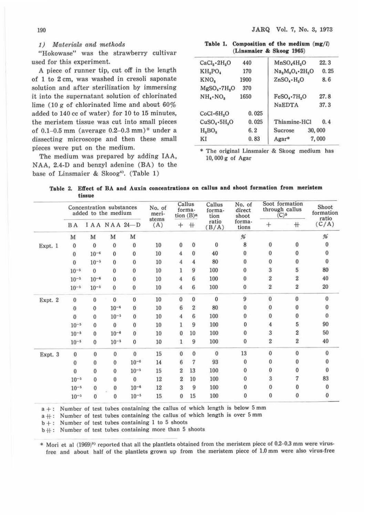#### 1) Materials and methods

"Hokowase" was the strawberry cultivar used for this experiment.

A piece of runner tip, cut off in the length of 1 to 2 cm, was washed in cresoli saponate solution and after sterilization by immersing it into the supernatant solution of chlorinated lime (10  $\alpha$  of chlorinated lime and about 60% added to 140 cc of water) for 10 to 15 minutes, the meristem tissue was cut into small pieces of 0.1-0.5 mm (average  $0.2-0.3$  mm)\* under a dissecting microscope and then these small pieces were put on the medium.

The medium was prepared by adding IAA, NAA, 2.4-D and benzyl adenine (BA) to the base of Linsmaier & Skoog<sup>4</sup></sub>. (Table 1)

Table 1. Composition of the medium  $(mg/l)$ **{Linsmaier** & **Skoog 1965)** 

| $CaCl2 \cdot 2H2O$              | 440   | MnSO <sub>4</sub> H <sub>2</sub> O | 22.3   |  |
|---------------------------------|-------|------------------------------------|--------|--|
| KH <sub>2</sub> PO <sub>4</sub> | 170   | $Na2M0O4 \cdot 2H2O$               | 0.25   |  |
| KNO <sub>a</sub>                | 1900  | $ZnSO_4 \cdot H_5O$                | 8.6    |  |
| $MgSO_4$ -7 $H_2O$              | 370   |                                    |        |  |
| $NH_{4} \cdot NO_{2}$           | 1650  | $FeSO_4$ -7 $H_2O$                 | 27.8   |  |
|                                 |       | <b>NaEDTA</b>                      | 37.3   |  |
| CoCl·6H <sub>2</sub> O          | 0.025 |                                    |        |  |
| $CuSO_4 \cdot 5H_2O$            | 0.025 | Thiamine-HCl                       | 0.4    |  |
| H <sub>a</sub> BO <sub>a</sub>  | 6.2   | Sucrose                            | 30,000 |  |
| ΚI                              | 0.83  | Agar*                              | 7,000  |  |
|                                 |       |                                    |        |  |

\* The original Linsmaier & Skoog medium has 10, 000 g of Agar

**Table** 2. **Effect of BA and** Auxin **concentrations** on **callus and shoot formation** from **meristem tissue** 

|         | Concentration substances<br>added to the medium |                |              | No. of<br>meri- | Callus<br>forma-<br>tion $(B)$ <sup><i>a</i></sup> |                  | Callus<br>forma-<br>tion | No. of<br>direct<br>shoot | Soot formation<br>through callus<br>(C) <sub>b</sub> |                  | Shoot<br>formation<br>ratio |              |
|---------|-------------------------------------------------|----------------|--------------|-----------------|----------------------------------------------------|------------------|--------------------------|---------------------------|------------------------------------------------------|------------------|-----------------------------|--------------|
|         | <b>BA</b>                                       |                |              | IAA NAA 24-D    | stems<br>(A)                                       | $+$              | $+$                      | ratio<br>(B/A)            | forma-<br>tions                                      | $+$              | $^+$                        | (C/A)        |
|         | M                                               | M              | M            | M               |                                                    |                  |                          |                           | %                                                    |                  |                             | %            |
| Expt. 1 | $\Omega$                                        | $\mathbf{0}$   | $\mathbf{0}$ | $\mathbf{0}$    | 10                                                 | $\bf{0}$         | $\bf{0}$                 | $\bf{0}$                  | 8                                                    | $\bf{0}$         | 0                           | $\bf{0}$     |
|         | 0                                               | $10^{-6}$      | $\Omega$     | $\mathbf{0}$    | 10                                                 | 4                | $\Omega$                 | 40                        | $\bf{0}$                                             | $\pmb{0}$        | $\mathbf{0}$                | $\mathbf{0}$ |
|         | 0                                               | $10^{-5}$      | $\bf{0}$     | $\mathbf{0}$    | 10                                                 | 4                | 4                        | 80                        | $\mathbf{0}$                                         | $\mathbf{0}$     | $\mathbf{0}$                | $\bf{0}$     |
|         | $10^{-5}$                                       | $\Omega$       | 0            | $\mathbf{0}$    | 10                                                 |                  | 9                        | 100                       | 0                                                    | 3                | 5                           | 80           |
|         | $10^{-5}$                                       | $10^{-6}$      | 0            | $\bf{0}$        | 10                                                 | 4                | 6                        | 100                       | $\bf{0}$                                             | $\overline{c}$   | $\boldsymbol{2}$            | 40           |
|         | $10^{-5}$                                       | $10^{-5}$      | $\bf{0}$     | $\bf{0}$        | 10                                                 | 4                | 6                        | 100                       | $\bf{0}$                                             | $\rm{2}$         | $\overline{2}$              | 20           |
| Expt. 2 | $\mathbf{0}$                                    | $\bf{0}$       | $\Omega$     | $\bf{0}$        | 10                                                 | $\mathbf{0}$     | $\Omega$                 | $\Omega$                  | 9                                                    | $\bf{0}$         | $\bf{0}$                    | $\mathbf{0}$ |
|         | $\mathbf{0}$                                    | $\mathbf{0}$   | $10^{-6}$    | $\bf{0}$        | 10                                                 | 6                | $\overline{2}$           | 80                        | $\bf{0}$                                             | $\pmb{0}$        | 0                           | $\bf{0}$     |
|         | $\Omega$                                        | $\mathbf{0}$   | $10^{-5}$    | $\mathbf{0}$    | 10                                                 | 4                | 6                        | 100                       | $\mathbf{0}$                                         | $\bf{0}$         | $\bf{0}$                    | $\theta$     |
|         | $10^{-5}$                                       | $\bf{0}$       | 0            | 0               | 10                                                 | 1                | 9                        | 100                       | 0                                                    | $\overline{4}$   | 5                           | 90           |
|         | $10^{-5}$                                       | $\bf{0}$       | $10^{-6}$    | $\bf{0}$        | 10                                                 | $\mathbf{0}$     | 10                       | 100                       | $\bf{0}$                                             | 3                | $\boldsymbol{2}$            | 50           |
|         | $10^{-5}$                                       | $\Omega$       | $10^{-5}$    | $\mathbf{0}$    | 10                                                 | 1                | 9                        | 100                       | $\mathbf{0}$                                         | $\boldsymbol{2}$ | $\boldsymbol{2}$            | 40           |
| Expt. 3 | $\bf{0}$                                        | $\bf{0}$       | $\mathbf{0}$ | $\mathbf{0}$    | 15                                                 | $\mathbf{0}$     | $\Omega$                 | $\mathbf{0}$              | 13                                                   | $\mathbf{0}$     | $\mathbf{0}$                | $\mathbf{0}$ |
|         | $\mathbf{0}$                                    | $\bf{0}$       | $\bf{0}$     | $10^{-6}$       | 14                                                 | 6                | 7                        | 93                        | $\bf{0}$                                             | $\bf{0}$         | $\bf{0}$                    | 0            |
|         | $\Omega$                                        | $\overline{0}$ | $\Omega$     | $10^{-5}$       | 15                                                 | $\overline{2}$   | 13                       | 100                       | $\mathbf{0}$                                         | 0                | 0                           | $\theta$     |
|         | $10^{-5}$                                       | $\Omega$       | $\bf{0}$     | $\mathbf{0}$    | 12                                                 | $\boldsymbol{2}$ | 10                       | 100                       | 0                                                    | 3                | 7                           | 83           |
|         | $10^{-5}$                                       | $\Omega$       | $\Omega$     | $10^{-6}$       | 12                                                 | 3                | 9                        | 100                       | 0                                                    | $\bf{0}$         | 0                           | 0            |
|         | $10^{-5}$                                       | $\mathbf{0}$   | $\Omega$     | $10^{-5}$       | 15                                                 | $\bf{0}$         | 15                       | 100                       | 0                                                    | $\bf{0}$         | 0                           | 0            |

 $a +$ : Number of test tubes containing the callus of which length is below 5 mm

 $a + t$ : Number of test tubes containing the callus of which length is over 5 mm

 $b +$ : Number of test tubes containing 1 to 5 shoots

 $b + t$ : Number of test tubes containing more than 5 shoots

\* Mori et al (1969)<sup>9)</sup> reported that all the plantlets obtained from the meristem piece of 0.2-0.3 mm were virusfree and about half of the plantlets grown up from the meristem piece of 1.0 mm were also virus-free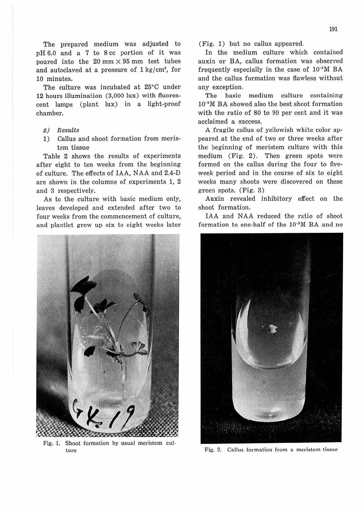The prepared medium was adjusted to pH 6.0 and a 7 to 8 cc portion of it was poured into the  $20 \text{ mm} \times 95 \text{ mm}$  test tubes and autoclaved at a pressure of  $1 \text{ kg/cm}^2$ , for 10 minutes.

The culture was incubated at 25°C under 12 hours illumination (3,000 lux) with fluorescent lamps (plant lux) in a light-proof chamber.

- 2) Results
- 1) Callus and shoot formation from meristem tissue

Table 2 shows the results of experiments after eight to ten weeks from the beginning of culture. The effects of IAA, N AA and 2.4-D are shown in the columns of experiments 1, 2 and 3 respectively.

As to the culture with basic medium only, leaves developed and extended after two to four weeks from the commencement of culture, and plantlet grew up six to eight weeks later



Fig. 1. Shoot formation by usual meristem culture

(Fig. 1) but no callus appeared.

In the medium culture which contained auxin or BA, callus formation was observed frequently especially in the case of 10-•M BA and the callus formation was flawless without any exception.

The basic medium culture containing 10-sM BA showed also the best shoot formation with the ratio of 80 to 90 per cent and it was acclaimed a success.

A fragile callus of yellowish white color appeared at the end of two or three weeks after the beginning of meristem culture with this medium (Fig. 2). Then green spots were formed on the callus during the four to fiveweek period and in the course of six to eight weeks many shoots were discovered on these green spots. (Fig. 3)

Auxin revealed inhibitory effect on the shoot formation.

IAA and NAA reduced the ratio of shoot formation to one-half of the 10-•M BA and no



Fig. 2. Callus formation from a meristem tissue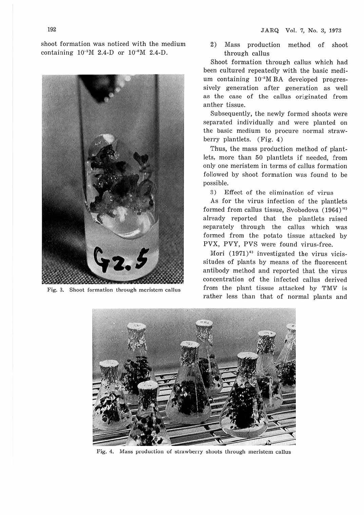shoot formation was noticed with the medium containing  $10^{-5}M$  2.4-D or  $10^{-6}M$  2.4-D.



Fig. 3. Shoot formation through meristem callus

2) Mass production method of shoot through callus

Shoot formation through callus which had been cultured repeatedly with the basic medium containing  $10^{-5}M$  BA developed progressively generation after generation as well as the case of the callus originated from anther tissue.

Subsequently, the newly formed shoots were separated individually and were planted on the basic medium to procure normal strawberry plantlets. (Fig. 4)

Thus, the mass production method of plantlets, more than 50 plantlets if needed, from only one meristem in terms of callus formation followed by shoot formation was found to be possible.

3) Effect of the elimination of virus

As for the virus infection of the plantlets formed from callus tissue, Svobodova (1964)<sup>11</sup> already reported that the plantlets raised separately through the callus which was formed from the potato tissue attacked by PVX, PVY, PVS were found virus-free.

Mori  $(1971)^{6}$  investigated the virus vicissitudes of plants by means of the fluorescent antibody method and reported that the virus concentration of the infected callus derived from the plant tissue attacked by TMV is rather less than that of normal plants and



Fig. 4. Mass production of strawberry shoots through meristem callus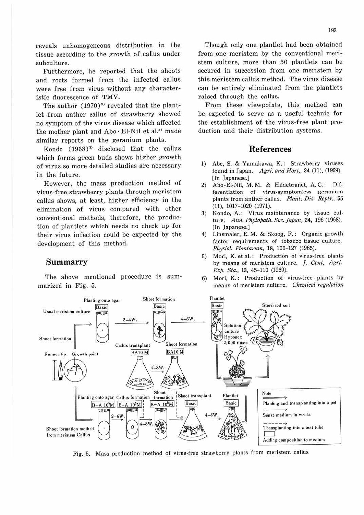reveals unhomogeneous distribution in the tissue according to the growth of callus under subculture.

Furthermore, he reported that the shoots and roots formed from the infected callus were free from virus without any characteristic fluorescence of TMV.

The author  $(1970)^9$  revealed that the plantlet from anther callus of strawberry showed no symptom of the virus disease which affected the mother plant and  $Abo \cdot E$ l-Nil et al.<sup>2)</sup> made similar reports on the geranium plants.

Kondo  $(1968)^{3}$  disclosed that the callus which forms green buds shows higher growth of virus so more detailed studies are necessary in the future.

However, the mass production method of virus-free strawberry plants through meristem callus shows, at least, higher efficiency in the elimination of virus compared with other conventional methods, therefore, the production of plantlets which needs no check up for their virus infection could be expected by the development of this method.

### **Summarry**

The above mentioned procedure is summarized in Fig. 5.

Though only one plantlet had been obtained from one meristem by the conventional meristem culture, more than 50 plantlets can be secured in succession from one meristem by this meristem callus method. The virus disease can be entirely eliminated from the plantlets raised through the callus.

From these viewpoints, this method can be expected to serve as a useful technic for the establishment of the virus-free plant production and their distribution systems.

### **References**

- 1) Abe, S. & Yamakawa, K.: Strawberry viruses found in Japan. *Agri. and Hort.,* **34 (11),** (1959). [In Japanese.]
- 2) Abo•El-Nil, M. M. & Hildebrandt, A. C.: Differentiation of virus-symptomless geranium plants from anther callus. Plant. Dis. *Reptr.,* 55 (11), 1017-1020 (1971).
- 3) Kondo, A.: Virus maintenance by tissue culture. Ann. Phytopath. Soc. Japan, 34, 196 (1968). [In Japanese.]
- 4) Linsmaier, E. M. & Skoog, F.: Organic growth factor requirements of tobacco tissue culture. Physiol. *Plantarum,* **18,** 100-127 (1965).
- 5) Mori, K. et al.: Production of virus-free plants by means of meristem culture. J. Cent. *Agri.*  Exp. Sta., **13,** 45-110 (1969).
- 6) Mori, K.: Production of virus-free plants by means or meristem culture. Chemical *regulation*



Fig. 5. Mass production method of virus.free strawberry plants from meristem callus